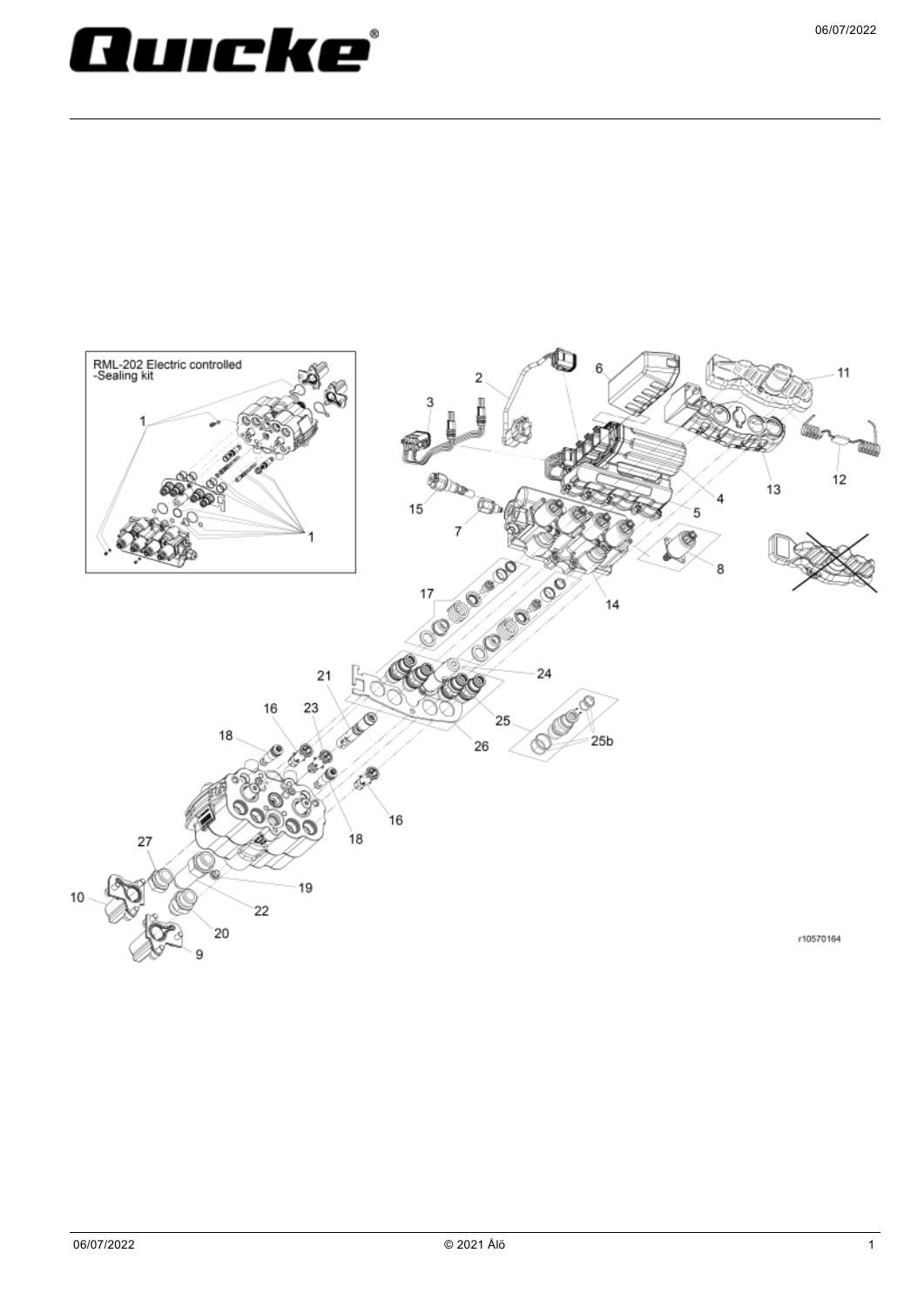## Quicke ľ